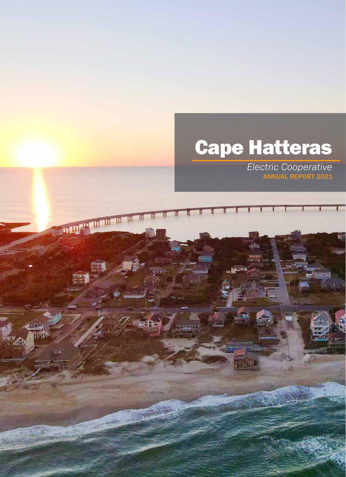# Cape Hatteras

ज|

a n<sup>'an</sup>

THE REAL PROPERTY OF THE REAL PROPERTY.

ww وسوآن TU

ngunu (

*Electric Cooperative* ANNUAL REPORT 2021

nfilm

i in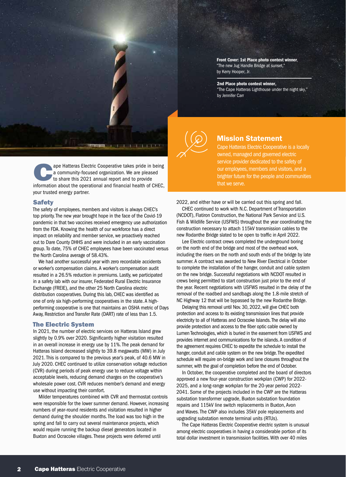

ape Hatteras Electric Cooperative takes pride in being a community-focused organization. We are pleased to share this 2021 annual report and to provide information about the operational and financial health of CHEC, your trusted energy partner.

#### Safety

The safety of employees, members and visitors is always CHEC's top priority. The new year brought hope in the face of the Covid-19 pandemic in that two vaccines received emergency use authorization from the FDA. Knowing the health of our workforce has a direct impact on reliability and member service, we proactively reached out to Dare County DHHS and were included in an early vaccination group. To date, 75% of CHEC employees have been vaccinated versus the North Carolina average of 58.43%.

We had another successful year with zero recordable accidents or worker's compensation claims. A worker's compensation audit resulted in a 26.5% reduction in premiums. Lastly, we participated in a safety lab with our insurer, Federated Rural Electric Insurance Exchange (FREIE), and the other 25 North Carolina electric distribution cooperatives. During this lab, CHEC was identified as one of only six high-performing cooperatives in the state. A highperforming cooperative is one that maintains an OSHA metric of Days Away, Restriction and Transfer Rate (DART) rate of less than 1.5.

#### The Electric System

In 2021, the number of electric services on Hatteras Island grew slightly by 0.9% over 2020. Significantly higher visitation resulted in an overall increase in energy use by 11%. The peak demand for Hatteras Island decreased slightly to 39.8 megawatts (MW) in July 2021. This is compared to the previous year's peak, of 40.6 MW in July 2020. CHEC continued to utilize conservation voltage reduction (CVR) during periods of peak energy use to reduce voltage within acceptable levels, reducing demand charges on the cooperative's wholesale power cost. CVR reduces member's demand and energy use without impacting their comfort.

Milder temperatures combined with CVR and thermostat controls were responsible for the lower summer demand. However, increasing numbers of year-round residents and visitation resulted in higher demand during the shoulder months. The load was too high in the spring and fall to carry out several maintenance projects, which would require running the backup diesel generators located in Buxton and Ocracoke villages. These projects were deferred until

Front Cover: 1st Place photo contest winner, "The new Jug Handle Bridge at sunset," by Kerry Hooper, Jr.

#### 2nd Place photo contest winner,

"The Cape Hatteras Lighthouse under the night sky," by Jennifer Carr



#### Mission Statement

Cape Hatteras Electric Cooperative is a locally owned, managed and governed electric service provider dedicated to the safety of our employees, members and visitors, and a brighter future for the people and communities that we serve.

2022, and either have or will be carried out this spring and fall.

CHEC continued to work with N.C. Department of Transportation (NCDOT), Flatiron Construction, the National Park Service and U.S. Fish & Wildlife Service (USFWS) throughout the year coordinating the construction necessary to attach 115kV transmission cables to the new Rodanthe Bridge slated to be open to traffic in April 2022.

Lee Electric contract crews completed the underground boring on the north end of the bridge and most of the overhead work, including the risers on the north and south ends of the bridge by late summer. A contract was awarded to New River Electrical in October to complete the installation of the hanger, conduit and cable system on the new bridge. Successful negotiations with NCDOT resulted in crews being permitted to start construction just prior to the end of the year. Recent negotiations with USFWS resulted in the delay of the removal of the roadbed and sandbags along the 1.8-mile stretch of NC Highway 12 that will be bypassed by the new Rodanthe Bridge.

Delaying this removal until Nov. 30, 2022, will give CHEC both protection and access to its existing transmission lines that provide electricity to all of Hatteras and Ocracoke Islands. The delay will also provide protection and access to the fiber optic cable owned by Lumen Technologies, which is buried in the easement from USFWS and provides internet and communications for the islands. A condition of the agreement requires CHEC to expedite the schedule to install the hanger, conduit and cable system on the new bridge. The expedited schedule will require on-bridge work and lane closures throughout the summer, with the goal of completion before the end of October.

In October, the cooperative completed and the board of directors approved a new four-year construction workplan (CWP) for 2022- 2025, and a long-range workplan for the 20-year period 2022- 2041. Some of the projects included in the CWP are the Hatteras substation transformer upgrade, Buxton substation foundation repairs and 115kV line switch replacements in Buxton, Avon and Waves. The CWP also includes 35kV pole replacements and upgrading substation remote terminal units (RTUs).

The Cape Hatteras Electric Cooperative electric system is unusual among electric cooperatives in having a considerable portion of its total dollar investment in transmission facilities. With over 40 miles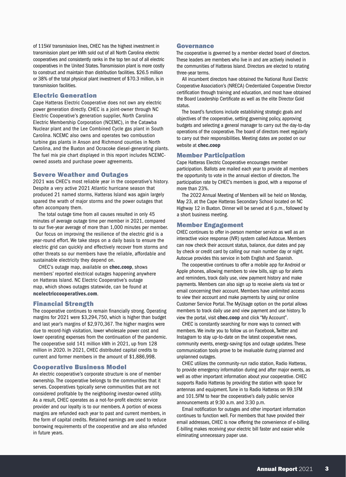of 115kV transmission lines, CHEC has the highest investment in transmission plant per kWh sold out of all North Carolina electric cooperatives and consistently ranks in the top ten out of all electric cooperatives in the United States. Transmission plant is more costly to construct and maintain than distribution facilities. \$26.5 million or 38% of the total physical plant investment of \$70.3 million, is in transmission facilities.

#### Electric Generation

Cape Hatteras Electric Cooperative does not own any electric power generation directly. CHEC is a joint-owner through NC Electric Cooperative's generation supplier, North Carolina Electric Membership Corporation (NCEMC), in the Catawba Nuclear plant and the Lee Combined Cycle gas plant in South Carolina. NCEMC also owns and operates two combustion turbine gas plants in Anson and Richmond counties in North Carolina, and the Buxton and Ocracoke diesel-generating plants. The fuel mix pie chart displayed in this report includes NCEMCowned assets and purchase power agreements.

#### Severe Weather and Outages

2021 was CHEC's most reliable year in the cooperative's history. Despite a very active 2021 Atlantic hurricane season that produced 21 named storms, Hatteras Island was again largely spared the wrath of major storms and the power outages that often accompany them.

The total outage time from all causes resulted in only 45 minutes of average outage time per member in 2021, compared to our five-year average of more than 1,000 minutes per member.

Our focus on improving the resilience of the electric grid is a year-round effort. We take steps on a daily basis to ensure the electric grid can quickly and effectively recover from storms and other threats so our members have the reliable, affordable and sustainable electricity they depend on.

CHEC's outage map, available on chec.coop, shows members' reported electrical outages happening anywhere on Hatteras Island. NC Electric Cooperative's outage map, which shows outages statewide, can be found at ncelectriccooperatives.com.

#### Financial Strength

The cooperative continues to remain financially strong. Operating margins for 2021 were \$3,294,750, which is higher than budget and last year's margins of \$2,970,367. The higher margins were due to record-high visitation, lower wholesale power cost and lower operating expenses from the continuation of the pandemic. The cooperative sold 141 million kWh in 2021, up from 128 million in 2020. In 2021, CHEC distributed capital credits to current and former members in the amount of \$1,886,998.

#### Cooperative Business Model

An electric cooperative's corporate structure is one of member ownership. The cooperative belongs to the communities that it serves. Cooperatives typically serve communities that are not considered profitable by the neighboring investor-owned utility. As a result, CHEC operates as a not-for-profit electric service provider and our loyalty is to our members. A portion of excess margins are refunded each year to past and current members, in the form of capital credits. Retained earnings are used to reduce borrowing requirements of the cooperative and are also refunded in future years.

#### Governance

The cooperative is governed by a member elected board of directors. These leaders are members who live in and are actively involved in the communities of Hatteras Island. Directors are elected to rotating three-year terms.

All incumbent directors have obtained the National Rural Electric Cooperative Association's (NRECA) Credentialed Cooperative Director certification through training and education, and most have obtained the Board Leadership Certificate as well as the elite Director Gold status.

The board's functions include establishing strategic goals and objectives of the cooperative, setting governing policy, approving budgets and selecting a general manager to carry out the day-to-day operations of the cooperative. The board of directors meet regularly to carry out their responsibilities. Meeting dates are posted on our website at chec.coop

#### Member Participation

Cape Hatteras Electric Cooperative encourages member participation. Ballots are mailed each year to provide all members the opportunity to vote in the annual election of directors. The participation rate by CHEC's members is good, with a response of more than 23%.

The 2022 Annual Meeting of Members will be held on Monday, May 23, at the Cape Hatteras Secondary School located on NC Highway 12 in Buxton. Dinner will be served at 6 p.m., followed by a short business meeting.

#### Member Engagement

CHEC continues to offer in-person member service as well as an interactive voice response (IVR) system called Autocue. Members can now check their account status, balance, due dates and pay by check or credit card by calling our main number day or night. Autocue provides this service in both English and Spanish.

The cooperative continues to offer a mobile app for Android or Apple phones, allowing members to view bills, sign up for alerts and reminders, track daily use, view payment history and make payments. Members can also sign up to receive alerts via text or email concerning their account. Members have unlimited access to view their account and make payments by using our online Customer Service Portal. The MyUsage option on the portal allows members to track daily use and view payment and use history. To view the portal, visit chec.coop and click "My Account".

CHEC is constantly searching for more ways to connect with members. We invite you to follow us on Facebook, Twitter and Instagram to stay up-to-date on the latest cooperative news, community events, energy-saving tips and outage updates. These communication tools prove to be invaluable during planned and unplanned outages.

CHEC utilizes the community-run radio station, Radio Hatteras, to provide emergency information during and after major events, as well as other important information about your cooperative. CHEC supports Radio Hatteras by providing the station with space for antennas and equipment. Tune in to Radio Hatteras on 99.1FM and 101.5FM to hear the cooperative's daily public service announcements at 9:30 a.m. and 3:30 p.m.

Email notification for outages and other important information continues to function well. For members that have provided their email addresses, CHEC is now offering the convenience of e-billing. E-billing makes receiving your electric bill faster and easier while eliminating unnecessary paper use.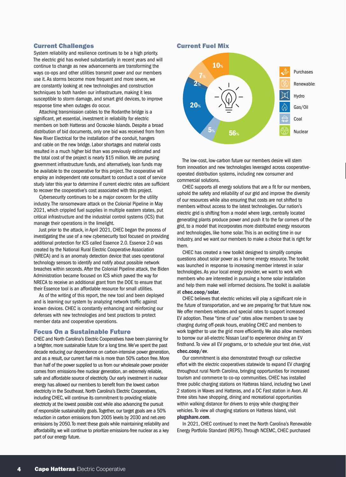#### Current Challenges

System reliability and resilience continues to be a high priority. The electric grid has evolved substantially in recent years and will continue to change as new advancements are transforming the ways co-ops and other utilities transmit power and our members use it. As storms become more frequent and more severe, we are constantly looking at new technologies and construction techniques to both harden our infrastructure, making it less susceptible to storm damage, and smart grid devices, to improve response time when outages do occur.

Attaching transmission cables to the Rodanthe bridge is a significant, yet essential, investment in reliability for electric members on both Hatteras and Ocracoke Islands. Despite a broad distribution of bid documents, only one bid was received from from New River Electrical for the installation of the conduit, hangers and cable on the new bridge. Labor shortages and material costs resulted in a much higher bid than was previously estimated and the total cost of the project is nearly \$15 million. We are pursing government infrastructure funds, and alternatively, loan funds may be available to the cooperative for this project. The cooperative will employ an independent rate consultant to conduct a cost of service study later this year to determine if current electric rates are sufficient to recover the cooperative's cost associated with this project.

Cybersecurity continues to be a major concern for the utility industry. The ransomeware attack on the Colonial Pipeline in May 2021, which crippled fuel supplies in multiple eastern states, put critical infrastructure and the industrial control systems (ICS) that manage their operations in the limelight.

Just prior to the attack, in April 2021, CHEC began the process of investigating the use of a new cybersecurity tool focused on providing additional protection for ICS called Essence 2.0. Essence 2.0 was created by the National Rural Electric Cooperative Association (NRECA) and is an anomaly detection device that uses operational technology sensors to identify and notify about possible network breaches within seconds. After the Colonial Pipeline attack, the Biden Administration became focused on ICS which paved the way for NRECA to receive an additional grant from the DOE to ensure that their Essence tool is an affordable resource for small utilities.

As of the writing of this report, the new tool and been deployed and is learning our system by analyzing network traffic against known devices. CHEC is constantly enhancing and reinforcing our defenses with new technologies and best practices to protect member data and cooperative operations.

#### Focus On a Sustainable Future

CHEC and North Carolina's Electric Cooperatives have been planning for a brighter, more sustainable future for a long time. We've spent the past decade reducing our dependence on carbon-intensive power generation, and as a result, our current fuel mix is more than 50% carbon free. More than half of the power supplied to us from our wholesale power provider comes from emissions-free nuclear generation, an extremely reliable, safe and affordable source of electricity. Our early investment in nuclear energy has allowed our members to benefit from the lowest carbon electricity in the Southeast. North Carolina's Electric Cooperatives, including CHEC, will continue its commitment to providing reliable electricity at the lowest possible cost while also advancing the pursuit of responsible sustainability goals. Together, our target goals are a 50% reduction in carbon emissions from 2005 levels by 2030 and net-zero emissions by 2050. To meet these goals while maintaining reliability and affordability, we will continue to prioritize emissions-free nuclear as a key part of our energy future.

#### Current Fuel Mix



The low-cost, low-carbon future our members desire will stem from innovation and new technologies leveraged across cooperativeoperated distribution systems, including new consumer and commercial solutions.

CHEC supports all energy solutions that are a fit for our members, uphold the safety and reliability of our grid and improve the diversity of our resources while also ensuring that costs are not shifted to members without access to the latest technologies. Our nation's electric grid is shifting from a model where large, centrally located generating plants produce power and push it to the far corners of the grid, to a model that incorporates more distributed energy resources and technologies, like home solar. This is an exciting time in our industry, and we want our members to make a choice that is right for them.

CHEC has created a new toolkit designed to simplify complex questions about solar power as a home energy resource. The toolkit was launched in response to increasing member interest in solar technologies. As your local energy provider, we want to work with members who are interested in pursuing a home solar installation and help them make well informed decisions. The toolkit is available at chec.coop/solar.

CHEC believes that electric vehicles will play a significant role in the future of transportation, and we are preparing for that future now. We offer members rebates and special rates to support increased EV adoption. These "time of use" rates allow members to save by charging during off-peak hours, enabling CHEC and members to work together to use the grid more efficiently. We also allow members to borrow our all-electric Nissan Leaf to experience driving an EV firsthand. To view all EV programs, or to schedule your test drive, visit chec.coop/ev.

Our commitment is also demonstrated through our collective effort with the electric cooperatives statewide to expand EV charging throughout rural North Carolina, bringing opportunities for increased tourism and commerce to co-op communities. CHEC has installed three public charging stations on Hatteras Island, including two Level 2 stations in Waves and Hatteras, and a DC Fast station in Avon. All three sites have shopping, dining and recreational opportunities within walking distance for drivers to enjoy while charging their vehicles. To view all charging stations on Hatteras Island, visit plugshare.com.

In 2021, CHEC continued to meet the North Carolina's Renewable Energy Portfolio Standard (REPS). Through NCEMC, CHEC purchased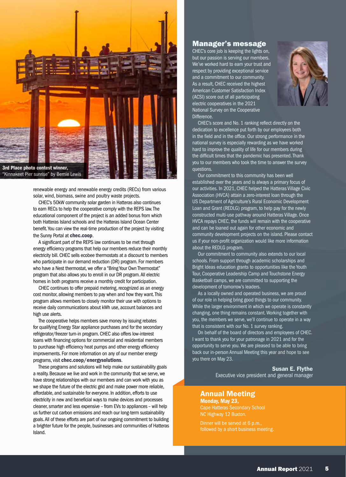

renewable energy and renewable energy credits (RECs) from various

solar, wind, biomass, swine and poultry waste projects.

CHEC's 50kW community solar garden in Hatteras also continues to earn RECs to help the cooperative comply with the REPS law. The educational component of the project is an added bonus from which both Hatteras Island schools and the Hatteras Island Ocean Center benefit. You can view the real-time production of the project by visiting the Sunny Portal at chec.coop.

A significant part of the REPS law continues to be met through energy efficiency programs that help our members reduce their monthly electricity bill. CHEC sells ecobee thermostats at a discount to members who participate in our demand reduction (DR) program. For members who have a Nest thermostat, we offer a "Bring Your Own Thermostat" program that also allows you to enroll in our DR program. All electric homes in both programs receive a monthly credit for participation.

CHEC continues to offer prepaid metering, recognized as an energy cost monitor, allowing members to pay when and how they want. This program allows members to closely monitor their use with options to receive daily communications about kWh use, account balances and high use alerts.

The cooperative helps members save money by issuing rebates for qualifying Energy Star appliance purchases and for the secondary refrigerator/freezer turn-in program. CHEC also offers low-interest loans with financing options for commercial and residential members to purchase high efficiency heat pumps and other energy efficiency improvements. For more information on any of our member energy programs, visit chec.coop/energysolutions.

These programs and solutions will help make our sustainability goals a reality. Because we live and work in the community that we serve, we have strong relationships with our members and can work with you as we shape the future of the electric grid and make power more reliable, affordable, and sustainable for everyone. In addition, efforts to use electricity in new and beneficial ways to make devices and processes cleaner, smarter and less expensive – from EVs to appliances – will help us further cut carbon emissions and reach our long-term sustainability goals. All of these efforts are part of our ongoing commitment to building a brighter future for the people, businesses and communities of Hatteras Island.

#### Manager's message

CHEC's core job is keeping the lights on, but our passion is serving our members. We've worked hard to earn your trust and respect by providing exceptional service and a commitment to our community. As a result, CHEC received the highest American Customer Satisfaction Index (ACSI) score out of all participating electric cooperatives in the 2021 National Survey on the Cooperative Difference.



CHEC's score and No. 1 ranking reflect directly on the dedication to excellence put forth by our employees both in the field and in the office. Our strong performance in the national survey is especially rewarding as we have worked hard to improve the quality of life for our members during the difficult times that the pandemic has presented. Thank you to our members who took the time to answer the survey questions.

Our commitment to this community has been well established over the years and is always a primary focus of our activities. In 2021, CHEC helped the Hatteras Village Civic Association (HVCA) attain a zero-interest loan through the US Department of Agriculture's Rural Economic Development Loan and Grant (REDLG) program, to help pay for the newly constructed multi-use pathway around Hatteras Village. Once HVCA repays CHEC, the funds will remain with the cooperative and can be loaned out again for other economic and community development projects on the island. Please contact us if your non-profit organization would like more information about the REDLG program.

Our commitment to community also extends to our local schools. From support through academic scholarships and Bright Ideas education grants to opportunities like the Youth Tour, Cooperative Leadership Camp and Touchstone Energy Basketball camps, we are committed to supporting the development of tomorrow's leaders.

As a locally owned and operated business, we are proud of our role in helping bring good things to our community. While the larger environment in which we operate is constantly changing, one thing remains constant. Working together with you, the members we serve, we'll continue to operate in a way that is consistent with our No. 1 survey ranking.

On behalf of the board of directors and employees of CHEC. I want to thank you for your patronage in 2021 and for the opportunity to serve you. We are pleased to be able to bring back our in-person Annual Meeting this year and hope to see you there on May 23.

> Susan E. Flythe Executive vice president and general manager

#### Annual Meeting Monday, May 23,

NC Highway 12 Buxton.

Dinner will be served at 6 p.m., followed by a short business meeting.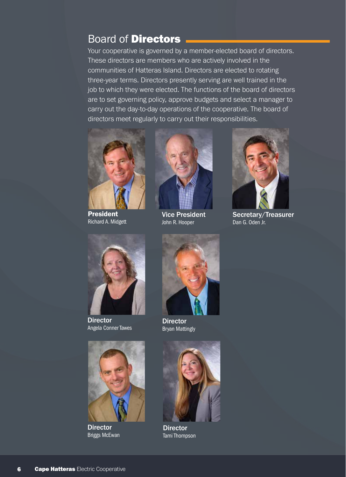### Board of Directors

Your cooperative is governed by a member-elected board of directors. These directors are members who are actively involved in the communities of Hatteras Island. Directors are elected to rotating three-year terms. Directors presently serving are well trained in the job to which they were elected. The functions of the board of directors are to set governing policy, approve budgets and select a manager to carry out the day-to-day operations of the cooperative. The board of directors meet regularly to carry out their responsibilities.



President Richard A. Midgett



Vice President John R. Hooper



Secretary/Treasurer Dan G. Oden Jr.



**Director** Angela Conner Tawes



**Director** Briggs McEwan



**Director** Bryan Mattingly



**Director** Tami Thompson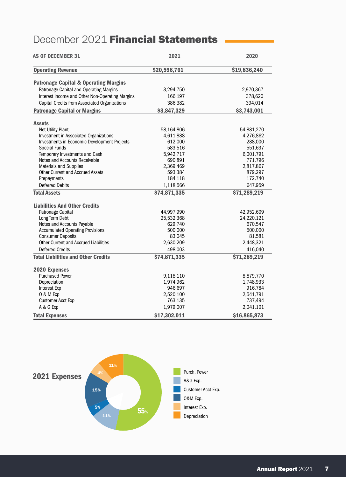## December 2021 Financial Statements

| <b>AS OF DECEMBER 31</b>                         | 2021         | 2020         |
|--------------------------------------------------|--------------|--------------|
| <b>Operating Revenue</b>                         | \$20,596,761 | \$19,836,240 |
| <b>Patronage Capital &amp; Operating Margins</b> |              |              |
| Patronage Capital and Operating Margins          | 3,294,750    | 2,970,367    |
| Interest Income and Other Non-Operating Margins  | 166,197      | 378,620      |
| Capital Credits from Associated Organizations    | 386,382      | 394,014      |
| <b>Patronage Capital or Margins</b>              | \$3,847,329  | \$3,743,001  |
| <b>Assets</b>                                    |              |              |
| Net Utility Plant                                | 58,164,806   | 54,881,270   |
| Investment in Associated Organizations           | 4,611,888    | 4,276,862    |
| Investments in Economic Development Projects     | 612,000      | 288,000      |
| <b>Special Funds</b>                             | 583,516      | 551,637      |
| Temporary Investments and Cash                   | 5,942,717    | 6,001,791    |
| Notes and Accounts Receivable                    | 690,891      | 771,796      |
| <b>Materials and Supplies</b>                    | 2,369,469    | 2,817,867    |
| <b>Other Current and Accrued Assets</b>          | 593,384      | 879,297      |
| Prepayments                                      | 184,118      | 172,740      |
| <b>Deferred Debits</b>                           | 1,118,566    | 647,959      |
| <b>Total Assets</b>                              | \$74,871,335 | \$71,289,219 |
| <b>Liabilities And Other Credits</b>             |              |              |
| Patronage Capital                                | 44,997,990   | 42,952,609   |
| Long Term Debt                                   | 25,532,368   | 24,220,121   |
| Notes and Accounts Payable                       | 629,740      | 670,547      |
| <b>Accumulated Operating Provisions</b>          | 500,000      | 500,000      |
| <b>Consumer Deposits</b>                         | 83,045       | 81,581       |
| <b>Other Current and Accrued Liabilities</b>     | 2,630,209    | 2,448,321    |
| <b>Deferred Credits</b>                          | 498,003      | 416,040      |
| <b>Total Liabilities and Other Credits</b>       | \$74,871,335 | \$71,289,219 |
| 2020 Expenses                                    |              |              |
| <b>Purchased Power</b>                           | 9,118,110    | 8,879,770    |
| Depreciation                                     | 1,974,962    | 1,748,933    |
| <b>Interest Exp</b>                              | 946,697      | 916,784      |
| O & M Exp                                        | 2,520,100    | 2,541,791    |
| <b>Customer Acct Exp</b>                         | 763,135      | 737,494      |
| A & G Exp                                        | 1,979,007    | 2,041,101    |
| <b>Total Expenses</b>                            | \$17,302,011 | \$16,865,873 |